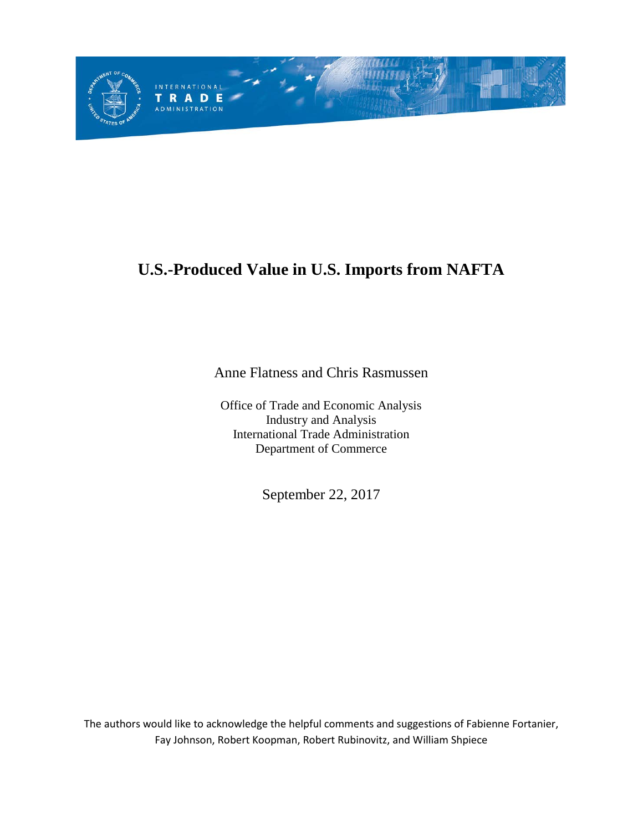

# **U.S.-Produced Value in U.S. Imports from NAFTA**

Anne Flatness and Chris Rasmussen

Office of Trade and Economic Analysis Industry and Analysis International Trade Administration Department of Commerce

September 22, 2017

The authors would like to acknowledge the helpful comments and suggestions of Fabienne Fortanier, Fay Johnson, Robert Koopman, Robert Rubinovitz, and William Shpiece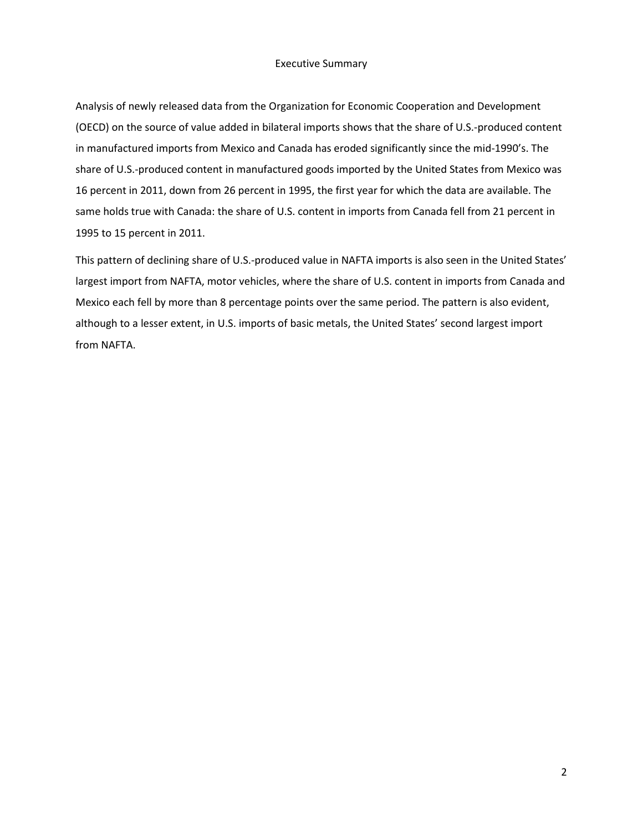### Executive Summary

Analysis of newly released data from the Organization for Economic Cooperation and Development (OECD) on the source of value added in bilateral imports shows that the share of U.S.-produced content in manufactured imports from Mexico and Canada has eroded significantly since the mid-1990's. The share of U.S.-produced content in manufactured goods imported by the United States from Mexico was 16 percent in 2011, down from 26 percent in 1995, the first year for which the data are available. The same holds true with Canada: the share of U.S. content in imports from Canada fell from 21 percent in 1995 to 15 percent in 2011.

This pattern of declining share of U.S.-produced value in NAFTA imports is also seen in the United States' largest import from NAFTA, motor vehicles, where the share of U.S. content in imports from Canada and Mexico each fell by more than 8 percentage points over the same period. The pattern is also evident, although to a lesser extent, in U.S. imports of basic metals, the United States' second largest import from NAFTA.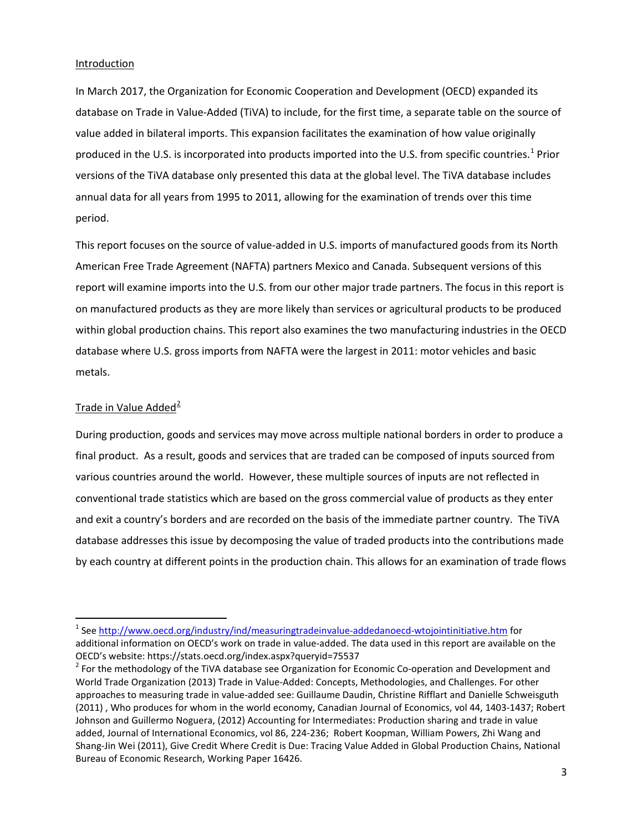#### Introduction

In March 2017, the Organization for Economic Cooperation and Development (OECD) expanded its database on Trade in Value-Added (TiVA) to include, for the first time, a separate table on the source of value added in bilateral imports. This expansion facilitates the examination of how value originally produced in the U.S. is incorporated into products imported into the U.S. from specific countries.<sup>[1](#page-2-0)</sup> Prior versions of the TiVA database only presented this data at the global level. The TiVA database includes annual data for all years from 1995 to 2011, allowing for the examination of trends over this time period.

This report focuses on the source of value-added in U.S. imports of manufactured goods from its North American Free Trade Agreement (NAFTA) partners Mexico and Canada. Subsequent versions of this report will examine imports into the U.S. from our other major trade partners. The focus in this report is on manufactured products as they are more likely than services or agricultural products to be produced within global production chains. This report also examines the two manufacturing industries in the OECD database where U.S. gross imports from NAFTA were the largest in 2011: motor vehicles and basic metals.

#### Trade in Value Added $^2$  $^2$

During production, goods and services may move across multiple national borders in order to produce a final product. As a result, goods and services that are traded can be composed of inputs sourced from various countries around the world. However, these multiple sources of inputs are not reflected in conventional trade statistics which are based on the gross commercial value of products as they enter and exit a country's borders and are recorded on the basis of the immediate partner country. The TiVA database addresses this issue by decomposing the value of traded products into the contributions made by each country at different points in the production chain. This allows for an examination of trade flows

<span id="page-2-0"></span><sup>&</sup>lt;sup>1</sup> See<http://www.oecd.org/industry/ind/measuringtradeinvalue-addedanoecd-wtojointinitiative.htm> for additional information on OECD's work on trade in value-added. The data used in this report are available on the OECD's website: https://stats.oecd.org/index.aspx?queryid=75537<br><sup>2</sup> For the methodology of the TiVA database see Organization for Economic Co-operation and Development and

<span id="page-2-1"></span>World Trade Organization (2013) Trade in Value-Added: Concepts, Methodologies, and Challenges. For other approaches to measuring trade in value-added see: Guillaume Daudin, Christine Rifflart and Danielle Schweisguth (2011) , Who produces for whom in the world economy, Canadian Journal of Economics, vol 44, 1403-1437; Robert Johnson and Guillermo Noguera, (2012) Accounting for Intermediates: Production sharing and trade in value added, Journal of International Economics, vol 86, 224-236; Robert Koopman, William Powers, Zhi Wang and Shang-Jin Wei (2011), Give Credit Where Credit is Due: Tracing Value Added in Global Production Chains, National Bureau of Economic Research, Working Paper 16426.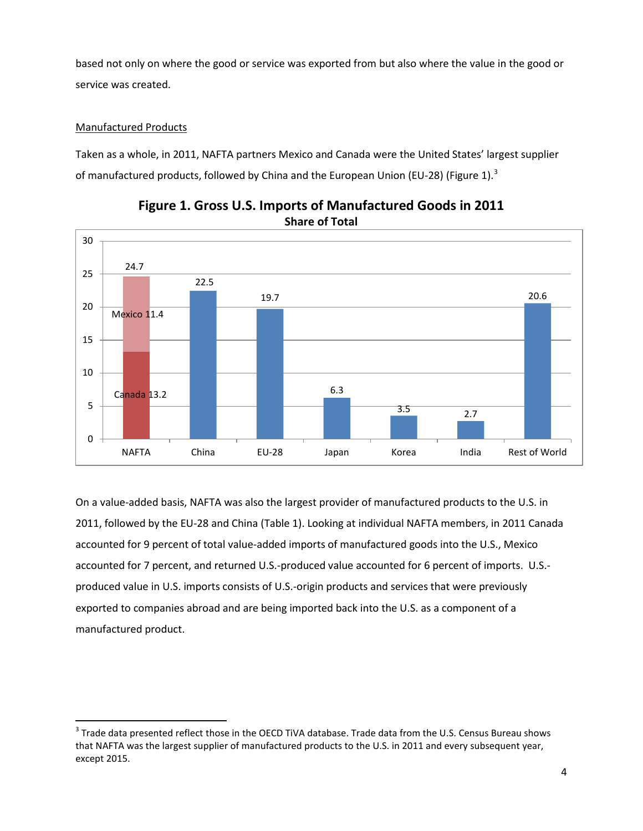based not only on where the good or service was exported from but also where the value in the good or service was created.

#### Manufactured Products

Taken as a whole, in 2011, NAFTA partners Mexico and Canada were the United States' largest supplier of manufactured products, followed by China and the European Union (EU-28) (Figure 1).<sup>[3](#page-3-0)</sup>





On a value-added basis, NAFTA was also the largest provider of manufactured products to the U.S. in 2011, followed by the EU-28 and China (Table 1). Looking at individual NAFTA members, in 2011 Canada accounted for 9 percent of total value-added imports of manufactured goods into the U.S., Mexico accounted for 7 percent, and returned U.S.-produced value accounted for 6 percent of imports. U.S. produced value in U.S. imports consists of U.S.-origin products and services that were previously exported to companies abroad and are being imported back into the U.S. as a component of a manufactured product.

<span id="page-3-0"></span><sup>&</sup>lt;sup>3</sup> Trade data presented reflect those in the OECD TiVA database. Trade data from the U.S. Census Bureau shows that NAFTA was the largest supplier of manufactured products to the U.S. in 2011 and every subsequent year, except 2015.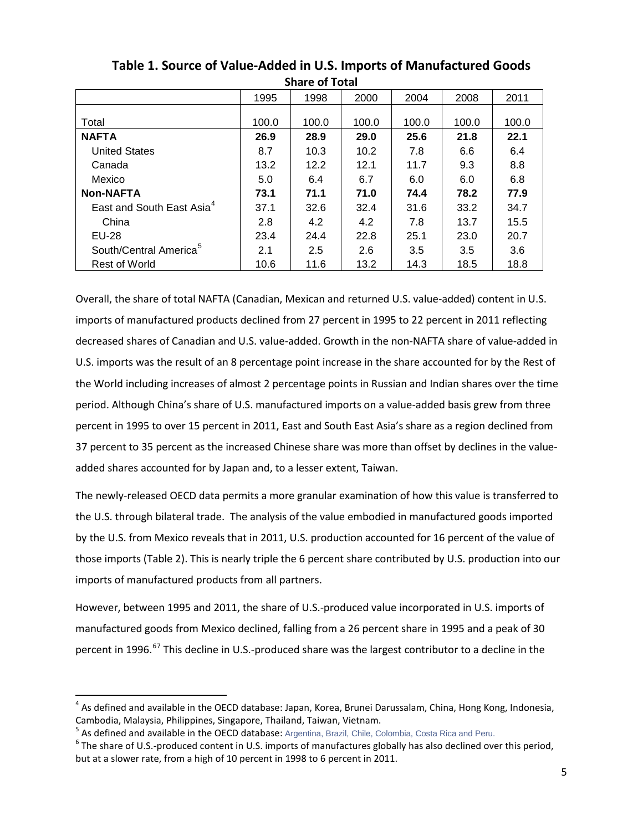|                                       |       | JHUL VI TULUI |       |       |       |       |
|---------------------------------------|-------|---------------|-------|-------|-------|-------|
|                                       | 1995  | 1998          | 2000  | 2004  | 2008  | 2011  |
|                                       |       |               |       |       |       |       |
| Total                                 | 100.0 | 100.0         | 100.0 | 100.0 | 100.0 | 100.0 |
| <b>NAFTA</b>                          | 26.9  | 28.9          | 29.0  | 25.6  | 21.8  | 22.1  |
| <b>United States</b>                  | 8.7   | 10.3          | 10.2  | 7.8   | 6.6   | 6.4   |
| Canada                                | 13.2  | 12.2          | 12.1  | 11.7  | 9.3   | 8.8   |
| Mexico                                | 5.0   | 6.4           | 6.7   | 6.0   | 6.0   | 6.8   |
| <b>Non-NAFTA</b>                      | 73.1  | 71.1          | 71.0  | 74.4  | 78.2  | 77.9  |
| East and South East Asia <sup>4</sup> | 37.1  | 32.6          | 32.4  | 31.6  | 33.2  | 34.7  |
| China                                 | 2.8   | 4.2           | 4.2   | 7.8   | 13.7  | 15.5  |
| EU-28                                 | 23.4  | 24.4          | 22.8  | 25.1  | 23.0  | 20.7  |
| South/Central America <sup>5</sup>    | 2.1   | 2.5           | 2.6   | 3.5   | 3.5   | 3.6   |
| <b>Rest of World</b>                  | 10.6  | 11.6          | 13.2  | 14.3  | 18.5  | 18.8  |

**Table 1. Source of Value-Added in U.S. Imports of Manufactured Goods Share of Total**

Overall, the share of total NAFTA (Canadian, Mexican and returned U.S. value-added) content in U.S. imports of manufactured products declined from 27 percent in 1995 to 22 percent in 2011 reflecting decreased shares of Canadian and U.S. value-added. Growth in the non-NAFTA share of value-added in U.S. imports was the result of an 8 percentage point increase in the share accounted for by the Rest of the World including increases of almost 2 percentage points in Russian and Indian shares over the time period. Although China's share of U.S. manufactured imports on a value-added basis grew from three percent in 1995 to over 15 percent in 2011, East and South East Asia's share as a region declined from 37 percent to 35 percent as the increased Chinese share was more than offset by declines in the valueadded shares accounted for by Japan and, to a lesser extent, Taiwan.

The newly-released OECD data permits a more granular examination of how this value is transferred to the U.S. through bilateral trade. The analysis of the value embodied in manufactured goods imported by the U.S. from Mexico reveals that in 2011, U.S. production accounted for 16 percent of the value of those imports (Table 2). This is nearly triple the 6 percent share contributed by U.S. production into our imports of manufactured products from all partners.

However, between 1995 and 2011, the share of U.S.-produced value incorporated in U.S. imports of manufactured goods from Mexico declined, falling from a 26 percent share in 1995 and a peak of 30 percent in 199[6](#page-4-2).<sup>6[7](#page-4-0)</sup> This decline in U.S.-produced share was the largest contributor to a decline in the

<span id="page-4-0"></span> $4$  As defined and available in the OECD database: Japan, Korea, Brunei Darussalam, China, Hong Kong, Indonesia, Cambodia, Malaysia, Philippines, Singapore, Thailand, Taiwan, Vietnam.<br><sup>5</sup> As defined and available in the OECD database: Argentina, Brazil, Chile, Colombia, Costa Rica and Peru.<br><sup>6</sup> The share of U.S.-produced content in U

<span id="page-4-1"></span>

<span id="page-4-2"></span>but at a slower rate, from a high of 10 percent in 1998 to 6 percent in 2011.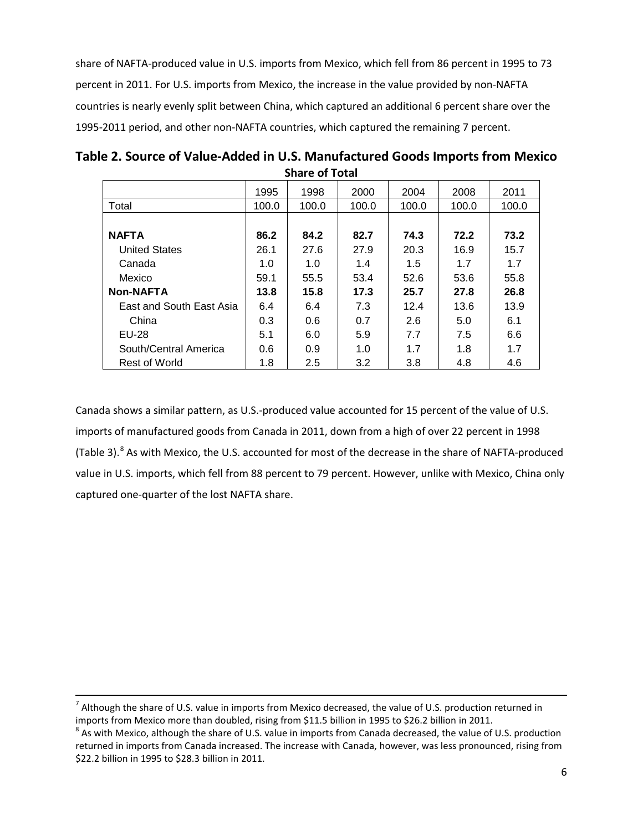share of NAFTA-produced value in U.S. imports from Mexico, which fell from 86 percent in 1995 to 73 percent in 2011. For U.S. imports from Mexico, the increase in the value provided by non-NAFTA countries is nearly evenly split between China, which captured an additional 6 percent share over the 1995-2011 period, and other non-NAFTA countries, which captured the remaining 7 percent.

| JIIAI C VI TULAI         |       |       |       |       |       |       |  |
|--------------------------|-------|-------|-------|-------|-------|-------|--|
|                          | 1995  | 1998  | 2000  | 2004  | 2008  | 2011  |  |
| Total                    | 100.0 | 100.0 | 100.0 | 100.0 | 100.0 | 100.0 |  |
|                          |       |       |       |       |       |       |  |
| <b>NAFTA</b>             | 86.2  | 84.2  | 82.7  | 74.3  | 72.2  | 73.2  |  |
| <b>United States</b>     | 26.1  | 27.6  | 27.9  | 20.3  | 16.9  | 15.7  |  |
| Canada                   | 1.0   | 1.0   | 1.4   | 1.5   | 1.7   | 1.7   |  |
| Mexico                   | 59.1  | 55.5  | 53.4  | 52.6  | 53.6  | 55.8  |  |
| <b>Non-NAFTA</b>         | 13.8  | 15.8  | 17.3  | 25.7  | 27.8  | 26.8  |  |
| East and South East Asia | 6.4   | 6.4   | 7.3   | 12.4  | 13.6  | 13.9  |  |
| China                    | 0.3   | 0.6   | 0.7   | 2.6   | 5.0   | 6.1   |  |
| EU-28                    | 5.1   | 6.0   | 5.9   | 7.7   | 7.5   | 6.6   |  |
| South/Central America    | 0.6   | 0.9   | 1.0   | 1.7   | 1.8   | 1.7   |  |
| <b>Rest of World</b>     | 1.8   | 2.5   | 3.2   | 3.8   | 4.8   | 4.6   |  |

**Table 2. Source of Value-Added in U.S. Manufactured Goods Imports from Mexico Share of Total**

Canada shows a similar pattern, as U.S.-produced value accounted for 15 percent of the value of U.S. imports of manufactured goods from Canada in 2011, down from a high of over 22 percent in 1998 (Table 3).<sup>[8](#page-5-0)</sup> As with Mexico, the U.S. accounted for most of the decrease in the share of NAFTA-produced value in U.S. imports, which fell from 88 percent to 79 percent. However, unlike with Mexico, China only captured one-quarter of the lost NAFTA share.

 $^7$  Although the share of U.S. value in imports from Mexico decreased, the value of U.S. production returned in imports from Mexico more than doubled, rising from \$11.5 billion in 1995 to \$26.2 billion in 2011.<br><sup>8</sup> As with Mexico, although the share of U.S. value in imports from Canada decreased, the value of U.S. production

<span id="page-5-0"></span>returned in imports from Canada increased. The increase with Canada, however, was less pronounced, rising from \$22.2 billion in 1995 to \$28.3 billion in 2011.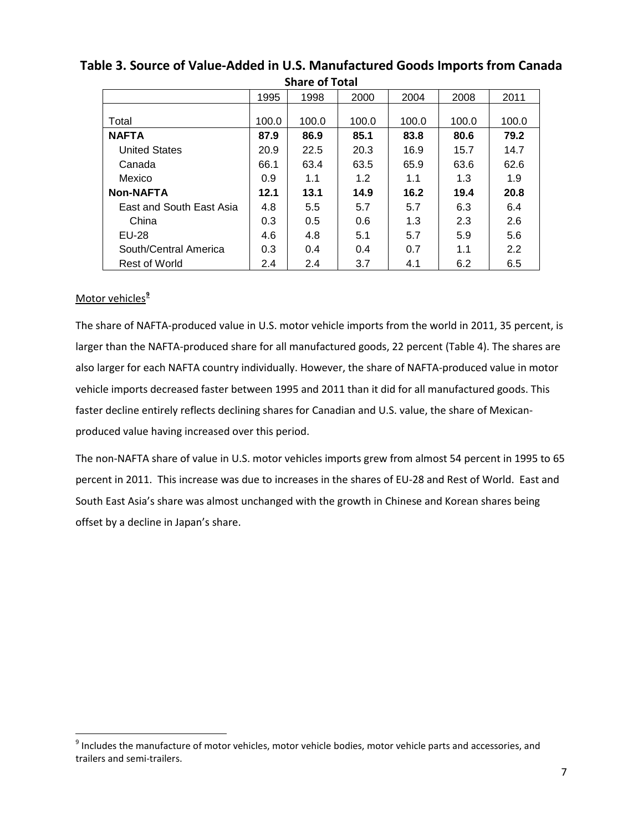| JHUL VI TULUI            |       |       |       |       |       |       |  |
|--------------------------|-------|-------|-------|-------|-------|-------|--|
|                          | 1995  | 1998  | 2000  | 2004  | 2008  | 2011  |  |
|                          |       |       |       |       |       |       |  |
| Total                    | 100.0 | 100.0 | 100.0 | 100.0 | 100.0 | 100.0 |  |
| <b>NAFTA</b>             | 87.9  | 86.9  | 85.1  | 83.8  | 80.6  | 79.2  |  |
| <b>United States</b>     | 20.9  | 22.5  | 20.3  | 16.9  | 15.7  | 14.7  |  |
| Canada                   | 66.1  | 63.4  | 63.5  | 65.9  | 63.6  | 62.6  |  |
| Mexico                   | 0.9   | 1.1   | 1.2   | 1.1   | 1.3   | 1.9   |  |
| <b>Non-NAFTA</b>         | 12.1  | 13.1  | 14.9  | 16.2  | 19.4  | 20.8  |  |
| East and South East Asia | 4.8   | 5.5   | 5.7   | 5.7   | 6.3   | 6.4   |  |
| China                    | 0.3   | 0.5   | 0.6   | 1.3   | 2.3   | 2.6   |  |
| <b>EU-28</b>             | 4.6   | 4.8   | 5.1   | 5.7   | 5.9   | 5.6   |  |
| South/Central America    | 0.3   | 0.4   | 0.4   | 0.7   | 1.1   | 2.2   |  |
| Rest of World            | 2.4   | 2.4   | 3.7   | 4.1   | 6.2   | 6.5   |  |

## **Table 3. Source of Value-Added in U.S. Manufactured Goods Imports from Canada Share of Total**

## Motor vehicles **[9](#page-6-0)**

The share of NAFTA-produced value in U.S. motor vehicle imports from the world in 2011, 35 percent, is larger than the NAFTA-produced share for all manufactured goods, 22 percent (Table 4). The shares are also larger for each NAFTA country individually. However, the share of NAFTA-produced value in motor vehicle imports decreased faster between 1995 and 2011 than it did for all manufactured goods. This faster decline entirely reflects declining shares for Canadian and U.S. value, the share of Mexicanproduced value having increased over this period.

The non-NAFTA share of value in U.S. motor vehicles imports grew from almost 54 percent in 1995 to 65 percent in 2011. This increase was due to increases in the shares of EU-28 and Rest of World. East and South East Asia's share was almost unchanged with the growth in Chinese and Korean shares being offset by a decline in Japan's share.

<span id="page-6-0"></span><sup>&</sup>lt;sup>9</sup> Includes the manufacture of motor vehicles, motor vehicle bodies, motor vehicle parts and accessories, and trailers and semi-trailers.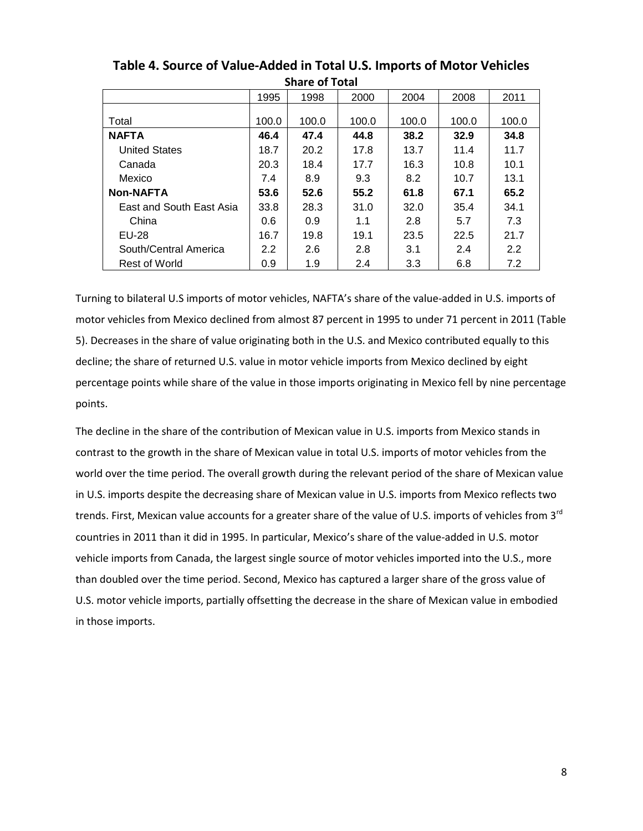|                          | <u>JIIUI CU I LULUI</u> |       |       |       |       |       |  |
|--------------------------|-------------------------|-------|-------|-------|-------|-------|--|
|                          | 1995                    | 1998  | 2000  | 2004  | 2008  | 2011  |  |
|                          |                         |       |       |       |       |       |  |
| Total                    | 100.0                   | 100.0 | 100.0 | 100.0 | 100.0 | 100.0 |  |
| <b>NAFTA</b>             | 46.4                    | 47.4  | 44.8  | 38.2  | 32.9  | 34.8  |  |
| <b>United States</b>     | 18.7                    | 20.2  | 17.8  | 13.7  | 11.4  | 11.7  |  |
| Canada                   | 20.3                    | 18.4  | 17.7  | 16.3  | 10.8  | 10.1  |  |
| Mexico                   | 7.4                     | 8.9   | 9.3   | 8.2   | 10.7  | 13.1  |  |
| <b>Non-NAFTA</b>         | 53.6                    | 52.6  | 55.2  | 61.8  | 67.1  | 65.2  |  |
| East and South East Asia | 33.8                    | 28.3  | 31.0  | 32.0  | 35.4  | 34.1  |  |
| China                    | 0.6                     | 0.9   | 1.1   | 2.8   | 5.7   | 7.3   |  |
| EU-28                    | 16.7                    | 19.8  | 19.1  | 23.5  | 22.5  | 21.7  |  |
| South/Central America    | $2.2^{\circ}$           | 2.6   | 2.8   | 3.1   | 2.4   | 2.2   |  |
| Rest of World            | 0.9                     | 1.9   | 2.4   | 3.3   | 6.8   | 7.2   |  |

**Table 4. Source of Value-Added in Total U.S. Imports of Motor Vehicles Share of Total**

Turning to bilateral U.S imports of motor vehicles, NAFTA's share of the value-added in U.S. imports of motor vehicles from Mexico declined from almost 87 percent in 1995 to under 71 percent in 2011 (Table 5). Decreases in the share of value originating both in the U.S. and Mexico contributed equally to this decline; the share of returned U.S. value in motor vehicle imports from Mexico declined by eight percentage points while share of the value in those imports originating in Mexico fell by nine percentage points.

The decline in the share of the contribution of Mexican value in U.S. imports from Mexico stands in contrast to the growth in the share of Mexican value in total U.S. imports of motor vehicles from the world over the time period. The overall growth during the relevant period of the share of Mexican value in U.S. imports despite the decreasing share of Mexican value in U.S. imports from Mexico reflects two trends. First, Mexican value accounts for a greater share of the value of U.S. imports of vehicles from 3<sup>rd</sup> countries in 2011 than it did in 1995. In particular, Mexico's share of the value-added in U.S. motor vehicle imports from Canada, the largest single source of motor vehicles imported into the U.S., more than doubled over the time period. Second, Mexico has captured a larger share of the gross value of U.S. motor vehicle imports, partially offsetting the decrease in the share of Mexican value in embodied in those imports.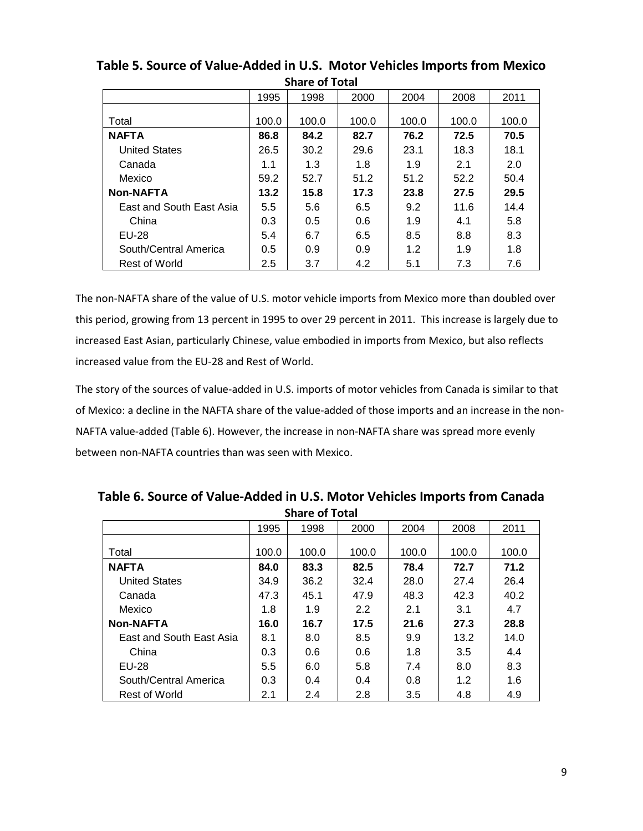| JHALC VI TULAI           |               |       |       |       |       |       |  |
|--------------------------|---------------|-------|-------|-------|-------|-------|--|
|                          | 1995          | 1998  | 2000  | 2004  | 2008  | 2011  |  |
|                          |               |       |       |       |       |       |  |
| Total                    | 100.0         | 100.0 | 100.0 | 100.0 | 100.0 | 100.0 |  |
| <b>NAFTA</b>             | 86.8          | 84.2  | 82.7  | 76.2  | 72.5  | 70.5  |  |
| <b>United States</b>     | 26.5          | 30.2  | 29.6  | 23.1  | 18.3  | 18.1  |  |
| Canada                   | 1.1           | 1.3   | 1.8   | 1.9   | 2.1   | 2.0   |  |
| Mexico                   | 59.2          | 52.7  | 51.2  | 51.2  | 52.2  | 50.4  |  |
| <b>Non-NAFTA</b>         | 13.2          | 15.8  | 17.3  | 23.8  | 27.5  | 29.5  |  |
| East and South East Asia | 5.5           | 5.6   | 6.5   | 9.2   | 11.6  | 14.4  |  |
| China                    | 0.3           | 0.5   | 0.6   | 1.9   | 4.1   | 5.8   |  |
| <b>EU-28</b>             | 5.4           | 6.7   | 6.5   | 8.5   | 8.8   | 8.3   |  |
| South/Central America    | $0.5^{\circ}$ | 0.9   | 0.9   | 1.2   | 1.9   | 1.8   |  |
| <b>Rest of World</b>     | 2.5           | 3.7   | 4.2   | 5.1   | 7.3   | 7.6   |  |

**Table 5. Source of Value-Added in U.S. Motor Vehicles Imports from Mexico Share of Total**

The non-NAFTA share of the value of U.S. motor vehicle imports from Mexico more than doubled over this period, growing from 13 percent in 1995 to over 29 percent in 2011. This increase is largely due to increased East Asian, particularly Chinese, value embodied in imports from Mexico, but also reflects increased value from the EU-28 and Rest of World.

The story of the sources of value-added in U.S. imports of motor vehicles from Canada is similar to that of Mexico: a decline in the NAFTA share of the value-added of those imports and an increase in the non-NAFTA value-added (Table 6). However, the increase in non-NAFTA share was spread more evenly between non-NAFTA countries than was seen with Mexico.

| JHALE VI TULAI           |       |       |       |       |       |       |  |
|--------------------------|-------|-------|-------|-------|-------|-------|--|
|                          | 1995  | 1998  | 2000  | 2004  | 2008  | 2011  |  |
|                          |       |       |       |       |       |       |  |
| Total                    | 100.0 | 100.0 | 100.0 | 100.0 | 100.0 | 100.0 |  |
| <b>NAFTA</b>             | 84.0  | 83.3  | 82.5  | 78.4  | 72.7  | 71.2  |  |
| <b>United States</b>     | 34.9  | 36.2  | 32.4  | 28.0  | 27.4  | 26.4  |  |
| Canada                   | 47.3  | 45.1  | 47.9  | 48.3  | 42.3  | 40.2  |  |
| Mexico                   | 1.8   | 1.9   | 2.2   | 2.1   | 3.1   | 4.7   |  |
| <b>Non-NAFTA</b>         | 16.0  | 16.7  | 17.5  | 21.6  | 27.3  | 28.8  |  |
| East and South East Asia | 8.1   | 8.0   | 8.5   | 9.9   | 13.2  | 14.0  |  |
| China                    | 0.3   | 0.6   | 0.6   | 1.8   | 3.5   | 4.4   |  |
| EU-28                    | 5.5   | 6.0   | 5.8   | 7.4   | 8.0   | 8.3   |  |
| South/Central America    | 0.3   | 0.4   | 0.4   | 0.8   | 1.2   | 1.6   |  |
| Rest of World            | 2.1   | 2.4   | 2.8   | 3.5   | 4.8   | 4.9   |  |

**Table 6. Source of Value-Added in U.S. Motor Vehicles Imports from Canada Share of Total**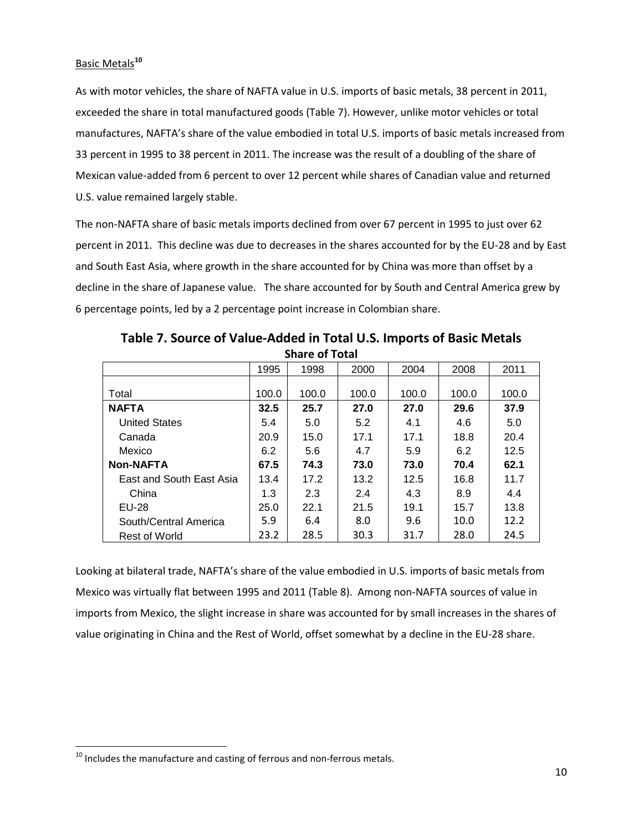#### Basic Metals**[10](#page-9-0)**

As with motor vehicles, the share of NAFTA value in U.S. imports of basic metals, 38 percent in 2011, exceeded the share in total manufactured goods (Table 7). However, unlike motor vehicles or total manufactures, NAFTA's share of the value embodied in total U.S. imports of basic metals increased from 33 percent in 1995 to 38 percent in 2011. The increase was the result of a doubling of the share of Mexican value-added from 6 percent to over 12 percent while shares of Canadian value and returned U.S. value remained largely stable.

The non-NAFTA share of basic metals imports declined from over 67 percent in 1995 to just over 62 percent in 2011. This decline was due to decreases in the shares accounted for by the EU-28 and by East and South East Asia, where growth in the share accounted for by China was more than offset by a decline in the share of Japanese value. The share accounted for by South and Central America grew by 6 percentage points, led by a 2 percentage point increase in Colombian share.

| Share of Total           |       |       |       |       |       |       |  |
|--------------------------|-------|-------|-------|-------|-------|-------|--|
|                          | 1995  | 1998  | 2000  | 2004  | 2008  | 2011  |  |
|                          |       |       |       |       |       |       |  |
| Total                    | 100.0 | 100.0 | 100.0 | 100.0 | 100.0 | 100.0 |  |
| <b>NAFTA</b>             | 32.5  | 25.7  | 27.0  | 27.0  | 29.6  | 37.9  |  |
| <b>United States</b>     | 5.4   | 5.0   | 5.2   | 4.1   | 4.6   | 5.0   |  |
| Canada                   | 20.9  | 15.0  | 17.1  | 17.1  | 18.8  | 20.4  |  |
| Mexico                   | 6.2   | 5.6   | 4.7   | 5.9   | 6.2   | 12.5  |  |
| <b>Non-NAFTA</b>         | 67.5  | 74.3  | 73.0  | 73.0  | 70.4  | 62.1  |  |
| East and South East Asia | 13.4  | 17.2  | 13.2  | 12.5  | 16.8  | 11.7  |  |
| China                    | 1.3   | 2.3   | 2.4   | 4.3   | 8.9   | 4.4   |  |
| EU-28                    | 25.0  | 22.1  | 21.5  | 19.1  | 15.7  | 13.8  |  |
| South/Central America    | 5.9   | 6.4   | 8.0   | 9.6   | 10.0  | 12.2  |  |
| <b>Rest of World</b>     | 23.2  | 28.5  | 30.3  | 31.7  | 28.0  | 24.5  |  |

**Table 7. Source of Value-Added in Total U.S. Imports of Basic Metals Share of Total**

Looking at bilateral trade, NAFTA's share of the value embodied in U.S. imports of basic metals from Mexico was virtually flat between 1995 and 2011 (Table 8). Among non-NAFTA sources of value in imports from Mexico, the slight increase in share was accounted for by small increases in the shares of value originating in China and the Rest of World, offset somewhat by a decline in the EU-28 share.

<span id="page-9-0"></span> $10$  Includes the manufacture and casting of ferrous and non-ferrous metals.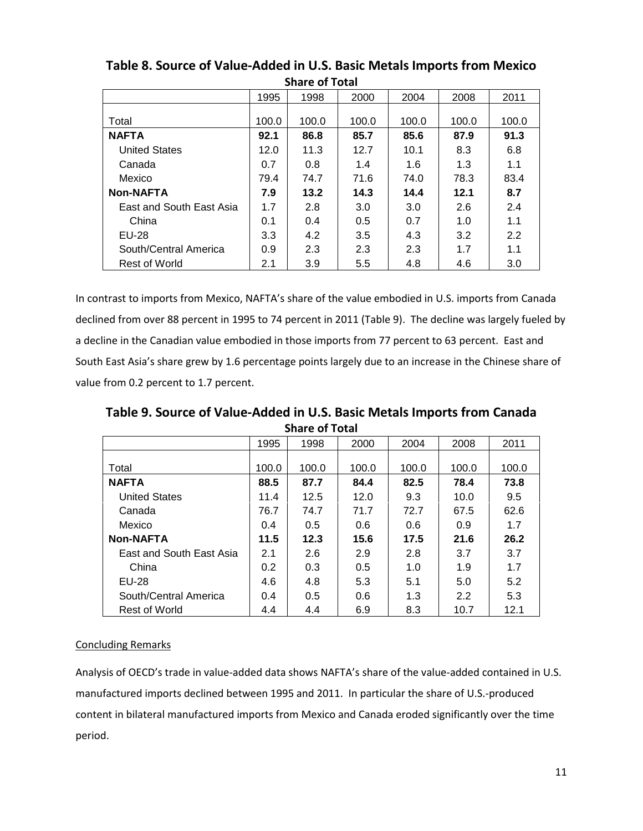| <b>JUUL VI IVLAI</b>     |       |       |       |       |       |       |  |
|--------------------------|-------|-------|-------|-------|-------|-------|--|
|                          | 1995  | 1998  | 2000  | 2004  | 2008  | 2011  |  |
|                          |       |       |       |       |       |       |  |
| Total                    | 100.0 | 100.0 | 100.0 | 100.0 | 100.0 | 100.0 |  |
| <b>NAFTA</b>             | 92.1  | 86.8  | 85.7  | 85.6  | 87.9  | 91.3  |  |
| <b>United States</b>     | 12.0  | 11.3  | 12.7  | 10.1  | 8.3   | 6.8   |  |
| Canada                   | 0.7   | 0.8   | 1.4   | 1.6   | 1.3   | 1.1   |  |
| Mexico                   | 79.4  | 74.7  | 71.6  | 74.0  | 78.3  | 83.4  |  |
| <b>Non-NAFTA</b>         | 7.9   | 13.2  | 14.3  | 14.4  | 12.1  | 8.7   |  |
| East and South East Asia | 1.7   | 2.8   | 3.0   | 3.0   | 2.6   | 2.4   |  |
| China                    | 0.1   | 0.4   | 0.5   | 0.7   | 1.0   | 1.1   |  |
| <b>EU-28</b>             | 3.3   | 4.2   | 3.5   | 4.3   | 3.2   | 2.2   |  |
| South/Central America    | 0.9   | 2.3   | 2.3   | 2.3   | 1.7   | 1.1   |  |
| Rest of World            | 2.1   | 3.9   | 5.5   | 4.8   | 4.6   | 3.0   |  |

**Table 8. Source of Value-Added in U.S. Basic Metals Imports from Mexico Share of Total**

In contrast to imports from Mexico, NAFTA's share of the value embodied in U.S. imports from Canada declined from over 88 percent in 1995 to 74 percent in 2011 (Table 9). The decline was largely fueled by a decline in the Canadian value embodied in those imports from 77 percent to 63 percent. East and South East Asia's share grew by 1.6 percentage points largely due to an increase in the Chinese share of value from 0.2 percent to 1.7 percent.

**Table 9. Source of Value-Added in U.S. Basic Metals Imports from Canada Share of Total**

|                          | 1995  | 1998          | 2000  | 2004  | 2008  | 2011  |
|--------------------------|-------|---------------|-------|-------|-------|-------|
|                          |       |               |       |       |       |       |
| Total                    | 100.0 | 100.0         | 100.0 | 100.0 | 100.0 | 100.0 |
| <b>NAFTA</b>             | 88.5  | 87.7          | 84.4  | 82.5  | 78.4  | 73.8  |
| <b>United States</b>     | 11.4  | 12.5          | 12.0  | 9.3   | 10.0  | 9.5   |
| Canada                   | 76.7  | 74.7          | 71.7  | 72.7  | 67.5  | 62.6  |
| Mexico                   | 0.4   | $0.5^{\circ}$ | 0.6   | 0.6   | 0.9   | 1.7   |
| <b>Non-NAFTA</b>         | 11.5  | 12.3          | 15.6  | 17.5  | 21.6  | 26.2  |
| East and South East Asia | 2.1   | 2.6           | 2.9   | 2.8   | 3.7   | 3.7   |
| China                    | 0.2   | 0.3           | 0.5   | 1.0   | 1.9   | 1.7   |
| EU-28                    | 4.6   | 4.8           | 5.3   | 5.1   | 5.0   | 5.2   |
| South/Central America    | 0.4   | 0.5           | 0.6   | 1.3   | 2.2   | 5.3   |
| Rest of World            | 4.4   | 4.4           | 6.9   | 8.3   | 10.7  | 12.1  |

### Concluding Remarks

Analysis of OECD's trade in value-added data shows NAFTA's share of the value-added contained in U.S. manufactured imports declined between 1995 and 2011. In particular the share of U.S.-produced content in bilateral manufactured imports from Mexico and Canada eroded significantly over the time period.